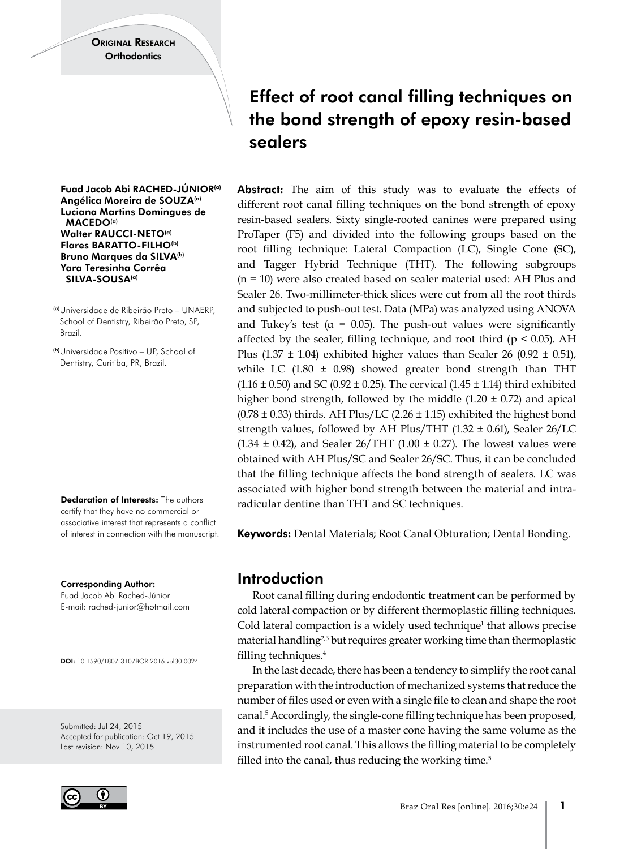Fuad Jacob Abi RACHED-JÚNIOR(a) Angélica Moreira de SOUZA(a) Luciana Martins Domingues de MACEDO(a) Walter RAUCCI-NETO(a) Flares BARATTO-FILHO<sup>(b)</sup> Bruno Marques da SILVA(b) Yara Teresinha Corrêa SILVA-SOUSA<sup>(a)</sup>

(a)Universidade de Ribeirão Preto – UNAERP, School of Dentistry, Ribeirão Preto, SP, Brazil.

(b)Universidade Positivo – UP, School of Dentistry, Curitiba, PR, Brazil.

Declaration of Interests: The authors certify that they have no commercial or associative interest that represents a conflict of interest in connection with the manuscript.

Corresponding Author: Fuad Jacob Abi Rached-Júnior E-mail: [rached-junior@hotmail.com](mailto:rached-junior@hotmail.com)

DOI: 10.1590/1807-3107BOR-2016.vol30.0024

Submitted: Jul 24, 2015 Accepted for publication: Oct 19, 2015 Last revision: Nov 10, 2015



# Effect of root canal filling techniques on the bond strength of epoxy resin-based sealers

Abstract: The aim of this study was to evaluate the effects of different root canal filling techniques on the bond strength of epoxy resin-based sealers. Sixty single-rooted canines were prepared using ProTaper (F5) and divided into the following groups based on the root filling technique: Lateral Compaction (LC), Single Cone (SC), and Tagger Hybrid Technique (THT). The following subgroups (n = 10) were also created based on sealer material used: AH Plus and Sealer 26. Two-millimeter-thick slices were cut from all the root thirds and subjected to push-out test. Data (MPa) was analyzed using ANOVA and Tukey's test ( $\alpha$  = 0.05). The push-out values were significantly affected by the sealer, filling technique, and root third ( $p \le 0.05$ ). AH Plus (1.37  $\pm$  1.04) exhibited higher values than Sealer 26 (0.92  $\pm$  0.51), while LC  $(1.80 \pm 0.98)$  showed greater bond strength than THT (1.16  $\pm$  0.50) and SC (0.92  $\pm$  0.25). The cervical (1.45  $\pm$  1.14) third exhibited higher bond strength, followed by the middle  $(1.20 \pm 0.72)$  and apical  $(0.78 \pm 0.33)$  thirds. AH Plus/LC  $(2.26 \pm 1.15)$  exhibited the highest bond strength values, followed by AH Plus/THT (1.32 ± 0.61), Sealer 26/LC  $(1.34 \pm 0.42)$ , and Sealer 26/THT  $(1.00 \pm 0.27)$ . The lowest values were obtained with AH Plus/SC and Sealer 26/SC. Thus, it can be concluded that the filling technique affects the bond strength of sealers. LC was associated with higher bond strength between the material and intraradicular dentine than THT and SC techniques.

Keywords: Dental Materials; Root Canal Obturation; Dental Bonding.

## Introduction

Root canal filling during endodontic treatment can be performed by cold lateral compaction or by different thermoplastic filling techniques. Cold lateral compaction is a widely used technique<sup>1</sup> that allows precise material handling<sup>2,3</sup> but requires greater working time than thermoplastic filling techniques.4

In the last decade, there has been a tendency to simplify the root canal preparation with the introduction of mechanized systems that reduce the number of files used or even with a single file to clean and shape the root canal.5 Accordingly, the single-cone filling technique has been proposed, and it includes the use of a master cone having the same volume as the instrumented root canal. This allows the filling material to be completely filled into the canal, thus reducing the working time. $5$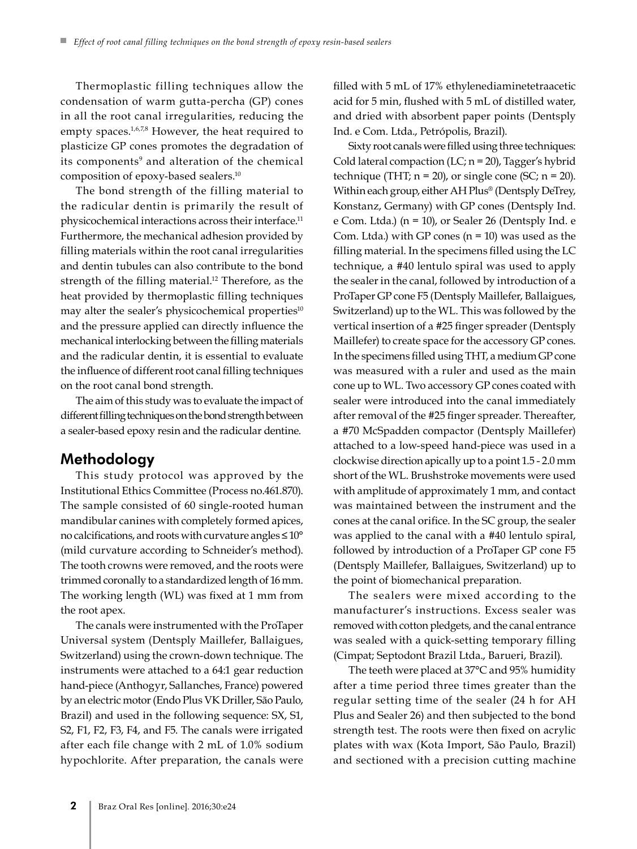Thermoplastic filling techniques allow the condensation of warm gutta-percha (GP) cones in all the root canal irregularities, reducing the empty spaces.<sup>1,6,7,8</sup> However, the heat required to plasticize GP cones promotes the degradation of its components<sup>9</sup> and alteration of the chemical composition of epoxy-based sealers.10

The bond strength of the filling material to the radicular dentin is primarily the result of physicochemical interactions across their interface.11 Furthermore, the mechanical adhesion provided by filling materials within the root canal irregularities and dentin tubules can also contribute to the bond strength of the filling material.<sup>12</sup> Therefore, as the heat provided by thermoplastic filling techniques may alter the sealer's physicochemical properties<sup>10</sup> and the pressure applied can directly influence the mechanical interlocking between the filling materials and the radicular dentin, it is essential to evaluate the influence of different root canal filling techniques on the root canal bond strength.

The aim of this study was to evaluate the impact of different filling techniques on the bond strength between a sealer-based epoxy resin and the radicular dentine.

## Methodology

This study protocol was approved by the Institutional Ethics Committee (Process no.461.870). The sample consisted of 60 single-rooted human mandibular canines with completely formed apices, no calcifications, and roots with curvature angles ≤ 10° (mild curvature according to Schneider's method). The tooth crowns were removed, and the roots were trimmed coronally to a standardized length of 16 mm. The working length (WL) was fixed at 1 mm from the root apex.

The canals were instrumented with the ProTaper Universal system (Dentsply Maillefer, Ballaigues, Switzerland) using the crown-down technique. The instruments were attached to a 64:1 gear reduction hand-piece (Anthogyr, Sallanches, France) powered by an electric motor (Endo Plus VK Driller, São Paulo, Brazil) and used in the following sequence: SX, S1, S2, F1, F2, F3, F4, and F5. The canals were irrigated after each file change with 2 mL of 1.0% sodium hypochlorite. After preparation, the canals were

filled with 5 mL of 17% ethylenediaminetetraacetic acid for 5 min, flushed with 5 mL of distilled water, and dried with absorbent paper points (Dentsply Ind. e Com. Ltda., Petrópolis, Brazil).

Sixty root canals were filled using three techniques: Cold lateral compaction (LC;  $n = 20$ ), Tagger's hybrid technique (THT;  $n = 20$ ), or single cone (SC;  $n = 20$ ). Within each group, either AH Plus® (Dentsply DeTrey, Konstanz, Germany) with GP cones (Dentsply Ind. e Com. Ltda.) (n = 10), or Sealer 26 (Dentsply Ind. e Com. Ltda.) with GP cones  $(n = 10)$  was used as the filling material. In the specimens filled using the LC technique, a #40 lentulo spiral was used to apply the sealer in the canal, followed by introduction of a ProTaper GP cone F5 (Dentsply Maillefer, Ballaigues, Switzerland) up to the WL. This was followed by the vertical insertion of a #25 finger spreader (Dentsply Maillefer) to create space for the accessory GP cones. In the specimens filled using THT, a medium GP cone was measured with a ruler and used as the main cone up to WL. Two accessory GP cones coated with sealer were introduced into the canal immediately after removal of the #25 finger spreader. Thereafter, a #70 McSpadden compactor (Dentsply Maillefer) attached to a low-speed hand-piece was used in a clockwise direction apically up to a point 1.5 - 2.0 mm short of the WL. Brushstroke movements were used with amplitude of approximately 1 mm, and contact was maintained between the instrument and the cones at the canal orifice. In the SC group, the sealer was applied to the canal with a #40 lentulo spiral, followed by introduction of a ProTaper GP cone F5 (Dentsply Maillefer, Ballaigues, Switzerland) up to the point of biomechanical preparation.

The sealers were mixed according to the manufacturer's instructions. Excess sealer was removed with cotton pledgets, and the canal entrance was sealed with a quick-setting temporary filling (Cimpat; Septodont Brazil Ltda., Barueri, Brazil).

The teeth were placed at 37°C and 95% humidity after a time period three times greater than the regular setting time of the sealer (24 h for AH Plus and Sealer 26) and then subjected to the bond strength test. The roots were then fixed on acrylic plates with wax (Kota Import, São Paulo, Brazil) and sectioned with a precision cutting machine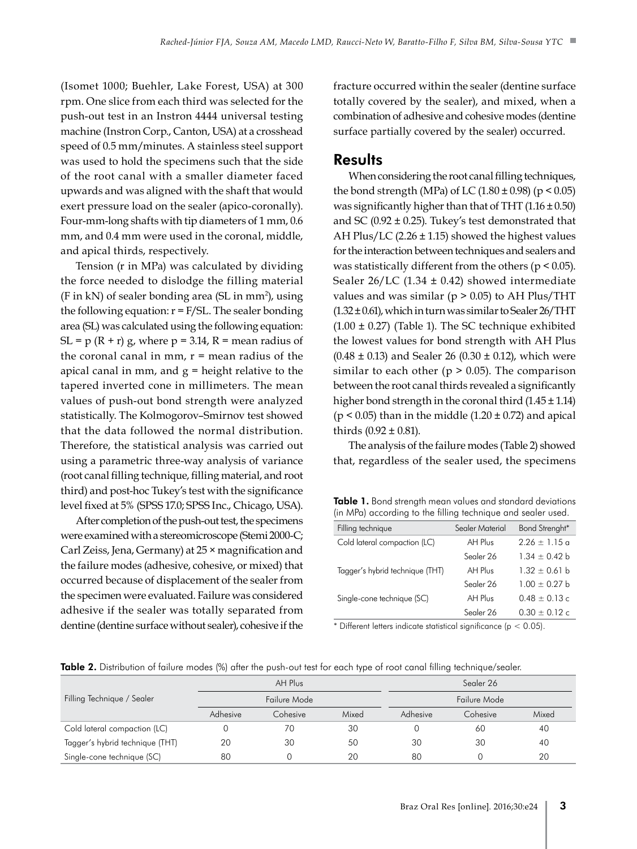(Isomet 1000; Buehler, Lake Forest, USA) at 300 rpm. One slice from each third was selected for the push-out test in an Instron 4444 universal testing machine (Instron Corp., Canton, USA) at a crosshead speed of 0.5 mm/minutes. A stainless steel support was used to hold the specimens such that the side of the root canal with a smaller diameter faced upwards and was aligned with the shaft that would exert pressure load on the sealer (apico-coronally). Four-mm-long shafts with tip diameters of 1 mm, 0.6 mm, and 0.4 mm were used in the coronal, middle, and apical thirds, respectively.

Tension (r in MPa) was calculated by dividing the force needed to dislodge the filling material  $(F \text{ in kN})$  of sealer bonding area (SL in mm<sup>2</sup>), using the following equation:  $r = F/SL$ . The sealer bonding area (SL) was calculated using the following equation: SL = p (R + r) g, where  $p = 3.14$ , R = mean radius of the coronal canal in mm,  $r =$  mean radius of the apical canal in mm, and  $g =$  height relative to the tapered inverted cone in millimeters. The mean values of push-out bond strength were analyzed statistically. The Kolmogorov–Smirnov test showed that the data followed the normal distribution. Therefore, the statistical analysis was carried out using a parametric three-way analysis of variance (root canal filling technique, filling material, and root third) and post-hoc Tukey's test with the significance level fixed at 5% (SPSS 17.0; SPSS Inc., Chicago, USA).

After completion of the push-out test, the specimens were examined with a stereomicroscope (Stemi 2000-C; Carl Zeiss, Jena, Germany) at 25 × magnification and the failure modes (adhesive, cohesive, or mixed) that occurred because of displacement of the sealer from the specimen were evaluated. Failure was considered adhesive if the sealer was totally separated from dentine (dentine surface without sealer), cohesive if the

fracture occurred within the sealer (dentine surface totally covered by the sealer), and mixed, when a combination of adhesive and cohesive modes (dentine surface partially covered by the sealer) occurred.

#### **Results**

When considering the root canal filling techniques, the bond strength (MPa) of LC (1.80  $\pm$  0.98) (p < 0.05) was significantly higher than that of THT  $(1.16 \pm 0.50)$ and SC (0.92  $\pm$  0.25). Tukey's test demonstrated that AH Plus/LC (2.26 ± 1.15) showed the highest values for the interaction between techniques and sealers and was statistically different from the others ( $p < 0.05$ ). Sealer  $26/LC$  (1.34  $\pm$  0.42) showed intermediate values and was similar (p *>* 0.05) to AH Plus/THT  $(1.32 \pm 0.61)$ , which in turn was similar to Sealer 26/THT  $(1.00 \pm 0.27)$  (Table 1). The SC technique exhibited the lowest values for bond strength with AH Plus  $(0.48 \pm 0.13)$  and Sealer 26  $(0.30 \pm 0.12)$ , which were similar to each other ( $p > 0.05$ ). The comparison between the root canal thirds revealed a significantly higher bond strength in the coronal third  $(1.45 \pm 1.14)$ ( $p < 0.05$ ) than in the middle (1.20  $\pm$  0.72) and apical thirds  $(0.92 \pm 0.81)$ .

The analysis of the failure modes (Table 2) showed that, regardless of the sealer used, the specimens

| <b>Table 1.</b> Bond strength mean values and standard deviations |
|-------------------------------------------------------------------|
| (in MPa) according to the filling technique and sealer used.      |

| Filling technique               | Sealer Material | Bond Strenght*    |  |
|---------------------------------|-----------------|-------------------|--|
| Cold lateral compaction (LC)    | AH Plus         | $2.26 \pm 1.15$ a |  |
|                                 | Sealer 26       | $1.34 \pm 0.42$ b |  |
| Tagger's hybrid technique (THT) | AH Plus         | $1.32 \pm 0.61$ b |  |
|                                 | Sealer 26       | $1.00 \pm 0.27$ b |  |
| Single-cone technique (SC)      | AH Plus         | $0.48 \pm 0.13$ c |  |
|                                 | Sealer 26       | $0.30 \pm 0.12$ c |  |

\* Different letters indicate statistical significance ( $p < 0.05$ ).

Table 2. Distribution of failure modes (%) after the push-out test for each type of root canal filling technique/sealer.

|                                 |              | AH Plus  |       |              | Segler 26 |       |
|---------------------------------|--------------|----------|-------|--------------|-----------|-------|
| Filling Technique / Sealer      | Failure Mode |          |       | Failure Mode |           |       |
|                                 | Adhesive     | Cohesive | Mixed | Adhesive     | Cohesive  | Mixed |
| Cold lateral compaction (LC)    |              | 70       | 30    |              | 60        | 40    |
| Tagger's hybrid technique (THT) | 20           | 30       | 50    | 30           | 30        | 40    |
| Single-cone technique (SC)      | 80           |          | 20    | 80           |           | 20    |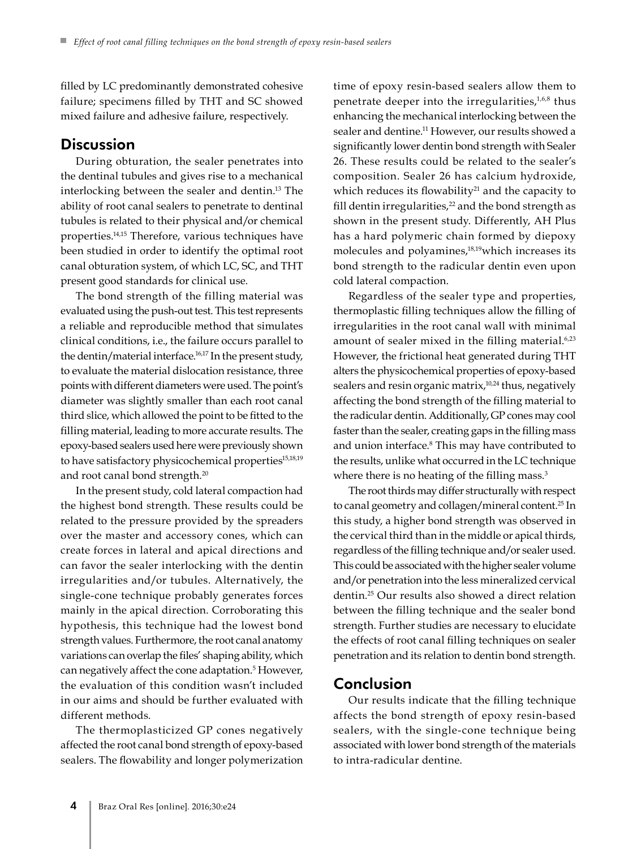filled by LC predominantly demonstrated cohesive failure; specimens filled by THT and SC showed mixed failure and adhesive failure, respectively.

### **Discussion**

During obturation, the sealer penetrates into the dentinal tubules and gives rise to a mechanical interlocking between the sealer and dentin.13 The ability of root canal sealers to penetrate to dentinal tubules is related to their physical and/or chemical properties.14,15 Therefore, various techniques have been studied in order to identify the optimal root canal obturation system, of which LC, SC, and THT present good standards for clinical use.

The bond strength of the filling material was evaluated using the push-out test. This test represents a reliable and reproducible method that simulates clinical conditions, i.e., the failure occurs parallel to the dentin/material interface.<sup>16,17</sup> In the present study, to evaluate the material dislocation resistance, three points with different diameters were used. The point's diameter was slightly smaller than each root canal third slice, which allowed the point to be fitted to the filling material, leading to more accurate results. The epoxy-based sealers used here were previously shown to have satisfactory physicochemical properties<sup>15,18,19</sup> and root canal bond strength.<sup>20</sup>

In the present study, cold lateral compaction had the highest bond strength. These results could be related to the pressure provided by the spreaders over the master and accessory cones, which can create forces in lateral and apical directions and can favor the sealer interlocking with the dentin irregularities and/or tubules. Alternatively, the single-cone technique probably generates forces mainly in the apical direction. Corroborating this hypothesis, this technique had the lowest bond strength values. Furthermore, the root canal anatomy variations can overlap the files' shaping ability, which can negatively affect the cone adaptation.5 However, the evaluation of this condition wasn't included in our aims and should be further evaluated with different methods.

The thermoplasticized GP cones negatively affected the root canal bond strength of epoxy-based sealers. The flowability and longer polymerization

time of epoxy resin-based sealers allow them to penetrate deeper into the irregularities,<sup>1,6,8</sup> thus enhancing the mechanical interlocking between the sealer and dentine.<sup>11</sup> However, our results showed a significantly lower dentin bond strength with Sealer 26. These results could be related to the sealer's composition. Sealer 26 has calcium hydroxide, which reduces its flowability<sup>21</sup> and the capacity to fill dentin irregularities, $22$  and the bond strength as shown in the present study. Differently, AH Plus has a hard polymeric chain formed by diepoxy molecules and polyamines,<sup>18,19</sup>which increases its bond strength to the radicular dentin even upon cold lateral compaction.

Regardless of the sealer type and properties, thermoplastic filling techniques allow the filling of irregularities in the root canal wall with minimal amount of sealer mixed in the filling material.<sup>6,23</sup> However, the frictional heat generated during THT alters the physicochemical properties of epoxy-based sealers and resin organic matrix,<sup>10,24</sup> thus, negatively affecting the bond strength of the filling material to the radicular dentin. Additionally, GP cones may cool faster than the sealer, creating gaps in the filling mass and union interface.<sup>8</sup> This may have contributed to the results, unlike what occurred in the LC technique where there is no heating of the filling mass.<sup>3</sup>

The root thirds may differ structurally with respect to canal geometry and collagen/mineral content.25 In this study, a higher bond strength was observed in the cervical third than in the middle or apical thirds, regardless of the filling technique and/or sealer used. This could be associated with the higher sealer volume and/or penetration into the less mineralized cervical dentin.25 Our results also showed a direct relation between the filling technique and the sealer bond strength. Further studies are necessary to elucidate the effects of root canal filling techniques on sealer penetration and its relation to dentin bond strength.

## Conclusion

Our results indicate that the filling technique affects the bond strength of epoxy resin-based sealers, with the single-cone technique being associated with lower bond strength of the materials to intra-radicular dentine.